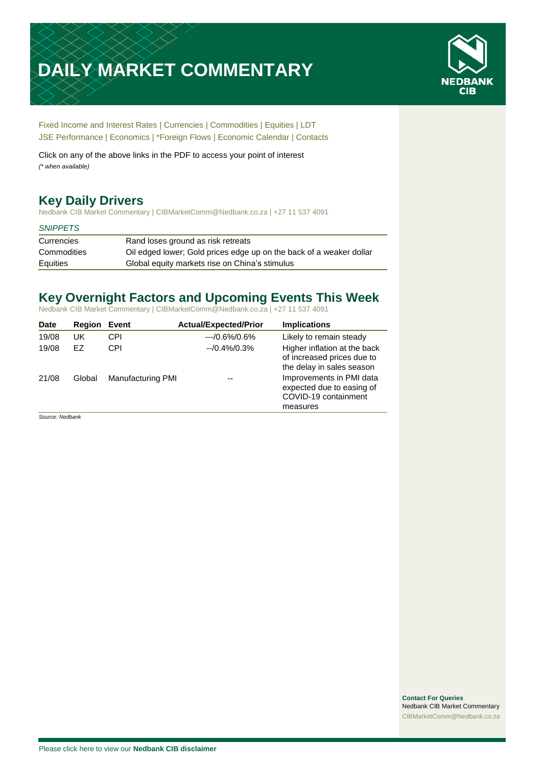# **DAILY MARKET COMMENTARY**



[Fixed Income and Interest Rates](#page-1-0) | [Currencies](#page-2-0) | [Commodities](#page-3-0) [| Equities](#page-4-0) | [LDT](#page-5-0) [JSE Performance](#page-6-0) [| Economics](#page-7-0) | [\\*Foreign Flows](#page-7-0) | [Economic Calendar](#page-7-0) | [Contacts](#page-8-0)

Click on any of the above links in the PDF to access your point of interest *(\* when available)*

# **Key Daily Drivers**

Nedbank CIB Market Commentary | CIBMarketComm@Nedbank.co.za | +27 11 537 4091

#### *SNIPPETS*

| Currencies  | Rand loses ground as risk retreats                                  |
|-------------|---------------------------------------------------------------------|
| Commodities | Oil edged lower; Gold prices edge up on the back of a weaker dollar |
| Equities    | Global equity markets rise on China's stimulus                      |

## **Key Overnight Factors and Upcoming Events This Week**

Nedbank CIB Market Commentary | CIBMarketComm@Nedbank.co.za | +27 11 537 4091

| Date  | Region | Event                    | <b>Actual/Expected/Prior</b> | <b>Implications</b>                                                                       |
|-------|--------|--------------------------|------------------------------|-------------------------------------------------------------------------------------------|
| 19/08 | UK     | CPI                      | $-10.6\%/0.6\%$              | Likely to remain steady                                                                   |
| 19/08 | EZ     | CPI                      | $-10.4\%/0.3\%$              | Higher inflation at the back<br>of increased prices due to<br>the delay in sales season   |
| 21/08 | Global | <b>Manufacturing PMI</b> | --                           | Improvements in PMI data<br>expected due to easing of<br>COVID-19 containment<br>measures |

*Source: Nedbank*

**Contact For Queries** Nedbank CIB Market Commentary [CIBMarketComm@Nedbank.co.za](file:///C:/Users/Paul-Rose/AppData/Roaming/Bluecurve/templates/CIBMarketComm@Nedbank.co.za)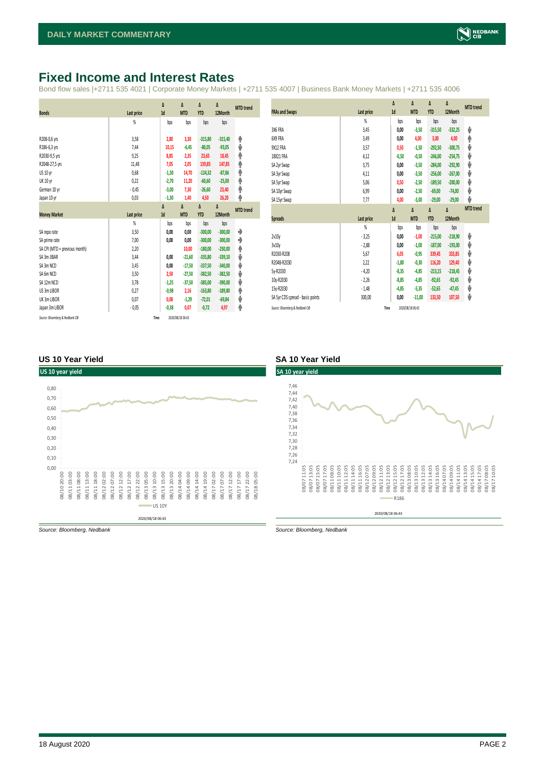# <span id="page-1-0"></span>**Fixed Income and Interest Rates**

Bond flow sales |+2711 535 4021 | Corporate Money Markets | +2711 535 4007 | Business Bank Money Markets | +2711 535 4006

|                                 |                   | Δ       | Δ                | Δ          | Δ         | <b>MTD</b> trend |
|---------------------------------|-------------------|---------|------------------|------------|-----------|------------------|
| <b>Bonds</b>                    | Last price        | 1d      | <b>MTD</b>       | <b>YTD</b> | 12Month   |                  |
|                                 | %                 | bps     | bps              | bps        | bps       |                  |
|                                 |                   |         |                  |            |           |                  |
| R208-0,6 yrs                    | 3,58              | 2,80    | 3,30             | $-315,80$  | $-315,40$ | ۸                |
| R186-6,3 yrs                    | 7,44              | 10,15   | $-6,45$          | $-80,05$   | $-93,05$  | ψ                |
| R2030-9,5 yrs                   | 9,25              | 8,85    | 2,35             | 23,65      | 18,45     | ۸                |
| R2048-27,5 yrs                  | 11,48             | 7,05    | 2,05             | 139,85     | 147,85    | φ                |
| US 10 yr                        | 0,68              | $-1,30$ | 14,70            | $-124,32$  | $-87,86$  | ۸                |
| <b>UK 10 yr</b>                 | 0,22              | $-2,70$ | 11,20            | $-60,60$   | $-25,00$  | ۸                |
| German 10 yr                    | $-0,45$           | $-3,00$ | 7,30             | $-26,60$   | 23,40     | ۸                |
| Japan 10 yr                     | 0,03              | $-1,30$ | 1,40             | 4,50       | 26,20     | φ                |
|                                 |                   | Δ       | Δ                | Δ          | Δ         | <b>MTD</b> trend |
| <b>Money Market</b>             | <b>Last price</b> | 1d      | <b>MTD</b>       | <b>YTD</b> | 12Month   |                  |
|                                 | $\frac{9}{20}$    | bps     | bps              | bps        | bps       |                  |
| SA repo rate                    | 3,50              | 0,00    | 0,00             | $-300,00$  | $-300,00$ | ۰                |
| SA prime rate                   | 7,00              | 0,00    | 0,00             | $-300,00$  | $-300,00$ | ۰                |
| SA CPI (MTD = previous month)   | 2,20              |         | 10,00            | $-180,00$  | $-230,00$ | ۸                |
| SA 3m JIBAR                     | 3,44              | 0,00    | $-21,60$         | $-335,80$  | $-339,10$ | ψ                |
| SA 3m NCD                       | 3,45              | 0,00    | $-17,50$         | $-337,50$  | $-340,00$ | ψ                |
| SA 6m NCD                       | 3,50              | 2,50    | $-27,50$         | $-382,50$  | $-382,50$ | ψ                |
| SA 12m NCD                      | 3,78              | $-1,25$ | $-37,50$         | $-385,00$  | $-390,00$ | ψ                |
| US 3m LIBOR                     | 0,27              | $-0,98$ | 2,16             | $-163,80$  | $-189,80$ | ۸                |
| UK 3m LIBOR                     | 0,07              | 0,08    | $-1,29$          | $-72,01$   | $-69,84$  | ψ                |
| Japan 3m LIBOR                  | $-0,05$           | $-0,38$ | 0,07             | $-0,72$    | 4,97      | ۸                |
| Source: Bloomberg & Nedbank CIB |                   | Time    | 2020/08/18 06:43 |            |           |                  |

|                                  |                | Δ       | Δ          | Δ          | Δ         | <b>MTD</b> trend |
|----------------------------------|----------------|---------|------------|------------|-----------|------------------|
| <b>FRAs and Swaps</b>            | Last price     | 1d      | <b>MTD</b> | <b>YTD</b> | 12Month   |                  |
|                                  | $\frac{9}{20}$ | bps     | bps        | bps        | bps       |                  |
| 3X6 FRA                          | 3,45           | 0.00    | $-3,50$    | $-315,50$  | $-332,25$ | ψ                |
| 6X9 FRA                          | 3,49           | 0,00    | 4,00       | 3,00       | 4,00      | Φ                |
| 9X12 FRA                         | 3,57           | 0,50    | $-1,50$    | $-292.50$  | $-300,75$ | V                |
| 18X21 FRA                        | 4,12           | $-0,50$ | $-0,50$    | $-246,00$  | $-254,75$ | J                |
| SA 2yr Swap                      | 3,75           | 0,00    | $-3,50$    | $-284,00$  | $-292,90$ | J                |
| SA 3yr Swap                      | 4,11           | 0,00    | $-3,50$    | $-256,00$  | $-267,00$ | J                |
| SA 5yr Swap                      | 5,06           | 0,50    | $-2,50$    | $-189,50$  | $-200,00$ | J                |
| SA 10yr Swap                     | 6,99           | 0,00    | $-2,50$    | $-69,00$   | $-74,00$  | J                |
| SA 15yr Swap                     | 7,77           | 4,00    | $-3,00$    | $-29,00$   | $-29,00$  | J                |
|                                  |                | Δ       | Δ          | Δ          | Δ         | <b>MTD</b> trend |
| <b>Spreads</b>                   | Last price     | 1d      | <b>MTD</b> | <b>YTD</b> | 12Month   |                  |
|                                  | $\frac{9}{20}$ | bps     | bps        | bps        | bps       |                  |
| 2v10v                            | $-3,25$        | 0,00    | $-1,00$    | $-215,00$  | $-218,90$ | ψ                |
| 3v10v                            | $-2,88$        | 0,00    | $-1,00$    | $-187.00$  | $-193,00$ | J                |
| R2030-R208                       | 5,67           | 6,05    | $-0,95$    | 339,45     | 333,85    | V                |
| R2048-R2030                      | 2,22           | $-1,80$ | $-0,30$    | 116,20     | 129,40    | J                |
| 5v-R2030                         | $-4,20$        | $-8,35$ | $-4,85$    | $-213,15$  | $-218,45$ | J                |
| 10y-R2030                        | $-2,26$        | $-8,85$ | $-4,85$    | $-92,65$   | $-92,45$  | J                |
| 15y-R2030                        | $-1,48$        | $-4,85$ | $-5,35$    | $-52,65$   | $-47,45$  | J                |
| SA 5yr CDS spread - basis points | 300,00         | 0,00    | $-11,00$   | 133,50     | 107,50    | ♦                |
|                                  |                |         |            |            |           |                  |

#### **US 10 Year Yield SA 10 Year Yield**





*Source: Bloomberg, Nedbank Source: Bloomberg, Nedbank*

#### 18 August 2020 PAGE 2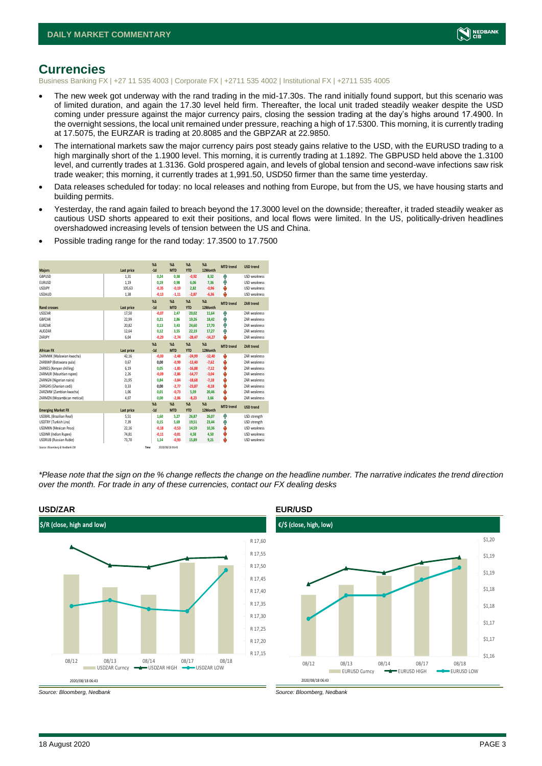

### <span id="page-2-0"></span>**Currencies**

Business Banking FX | +27 11 535 4003 | Corporate FX | +2711 535 4002 | Institutional FX | +2711 535 4005

- The new week got underway with the rand trading in the mid-17.30s. The rand initially found support, but this scenario was of limited duration, and again the 17.30 level held firm. Thereafter, the local unit traded steadily weaker despite the USD coming under pressure against the major currency pairs, closing the session trading at the day's highs around 17.4900. In the overnight sessions, the local unit remained under pressure, reaching a high of 17.5300. This morning, it is currently trading at 17.5075, the EURZAR is trading at 20.8085 and the GBPZAR at 22.9850.
- The international markets saw the major currency pairs post steady gains relative to the USD, with the EURUSD trading to a high marginally short of the 1.1900 level. This morning, it is currently trading at 1.1892. The GBPUSD held above the 1.3100 level, and currently trades at 1.3136. Gold prospered again, and levels of global tension and second-wave infections saw risk trade weaker; this morning, it currently trades at 1,991.50, USD50 firmer than the same time yesterday.
- Data releases scheduled for today: no local releases and nothing from Europe, but from the US, we have housing starts and building permits.
- Yesterday, the rand again failed to breach beyond the 17.3000 level on the downside; thereafter, it traded steadily weaker as cautious USD shorts appeared to exit their positions, and local flows were limited. In the US, politically-driven headlines overshadowed increasing levels of tension between the US and China.

|                                 |            | X <sub>A</sub> | X <sub>A</sub>   | $% \Delta$ | $% \Delta$   | <b>MTD</b> trend | <b>USD trend</b>    |
|---------------------------------|------------|----------------|------------------|------------|--------------|------------------|---------------------|
| <b>Majors</b>                   | Last price | $-1d$          | <b>MTD</b>       | <b>YTD</b> | 12Month      |                  |                     |
| GBPUSD                          | 1.31       | 0,24           | 0.38             | $-0,92$    | 8.32         | ŵ                | <b>USD</b> weakness |
| <b>EURUSD</b>                   | 1.19       | 0,19           | 0.98             | 6,06       | 7,36         | Φ                | <b>USD</b> weakness |
| <b>USDJPY</b>                   | 105,63     | $-0,35$        | $-0,19$          | 2,82       | $-0,96$      | ψ                | <b>USD</b> weakness |
| <b>USDAUD</b>                   | 1,38       | $-0,13$        | $-1,11$          | $-2,87$    | $-6,36$      | ψ                | <b>USD</b> weakness |
|                                 |            | $X\Delta$      | X <sub>A</sub>   | $% \Delta$ | $%$ $\Delta$ | <b>MTD</b> trend | ZAR trend           |
| <b>Rand crosses</b>             | Last price | $-1d$          | <b>MTD</b>       | <b>YTD</b> | 12Month      |                  |                     |
| <b>USDZAR</b>                   | 17,50      | $-0,07$        | 2,47             | 20,02      | 11,64        | Φ                | <b>7AR</b> weakness |
| GBPZAR                          | 22,99      | 0.21           | 2.86             | 19,26      | 18,42        | Φ                | <b>7AR</b> weakness |
| EURZAR                          | 20,82      | 0,13           | 3.43             | 24,60      | 17.70        | φ                | ZAR weakness        |
| AUDZAR                          | 12,64      | 0,12           | 3.55             | 22,19      | 17.27        | Ŵ                | <b>7AR</b> weakness |
| ZARJPY                          | 6,04       | $-0,29$        | $-2,74$          | $-28,47$   | $-14,27$     | J                | ZAR weakness        |
|                                 |            | X <sub>A</sub> | X <sub>A</sub>   | $% \Delta$ | $% \Delta$   | <b>MTD</b> trend | ZAR trend           |
| <b>African FX</b>               | Last price | $-1d$          | <b>MTD</b>       | <b>YTD</b> | 12Month      |                  |                     |
| ZARMWK (Malawian kwacha)        | 42,16      | $-0,00$        | $-2,48$          | $-24,99$   | $-12,40$     | ψ                | <b>7AR</b> weakness |
| ZARBWP (Botswana pula)          | 0.67       | 0.00           | $-0.99$          | $-13,40$   | $-7.62$      | ψ                | <b>7AR</b> weakness |
| ZARKES (Kenyan shilling)        | 6,19       | 0,05           | $-1,85$          | $-16,88$   | $-7,12$      | ψ                | ZAR weakness        |
| ZARMUR (Mauritian rupee)        | 2.26       | $-0.09$        | $-2.86$          | $-14.77$   | $-3,04$      | ψ                | <b>7AR</b> weakness |
| ZARNGN (Nigerian naira)         | 21,95      | 0,84           | $-3,84$          | $-18,68$   | $-7,18$      | ψ                | ZAR weakness        |
| ZARGHS (Ghanian cedi)           | 0.33       | 0.00           | $-2.77$          | $-23,87$   | $-8.18$      | ψ                | <b>7AR</b> weakness |
| ZARZMW (Zambian kwacha)         | 1,06       | 0.01           | $-0,73$          | 5,59       | 20,46        | ψ                | <b>7AR</b> weakness |
| ZARMZN (Mozambican metical)     | 4.07       | 0.00           | $-2,06$          | $-8,23$    | 3,66         | J                | <b>7AR</b> weakness |
|                                 |            | X <sub>A</sub> | X <sub>A</sub>   | $% \Delta$ | $% \Delta$   | <b>MTD</b> trend | <b>USD trend</b>    |
| <b>Emerging Market FX</b>       | Last price | $-1d$          | <b>MTD</b>       | <b>YTD</b> | 12Month      |                  |                     |
| <b>USDBRL</b> (Brazilian Real)  | 5,51       | 1,60           | 5,27             | 26,87      | 26,07        | Φ                | USD strength        |
| USDTRY (Turkish Lira)           | 7,39       | 0,15           | 5.69             | 19,51      | 23,44        | Φ                | USD strength        |
| <b>USDMXN (Mexican Peso)</b>    | 22,16      | $-0,18$        | $-0,53$          | 14,59      | 10,36        | ψ                | USD weakness        |
| <b>USDINR</b> (Indian Rupee)    | 74,81      | $-0,11$        | $-0,01$          | 4,58       | 4,50         | ψ                | <b>USD</b> weakness |
| <b>USDRUB</b> (Russian Ruble)   | 73,70      | 1,14           | $-0,93$          | 15,89      | 9,21         | ψ                | USD weakness        |
| Source: Bloomberg & Nedbank CIB |            | Time           | 2020/08/18 06:43 |            |              |                  |                     |

• Possible trading range for the rand today: 17.3500 to 17.7500

*\*Please note that the sign on the % change reflects the change on the headline number. The narrative indicates the trend direction over the month. For trade in any of these currencies, contact our FX dealing desks*



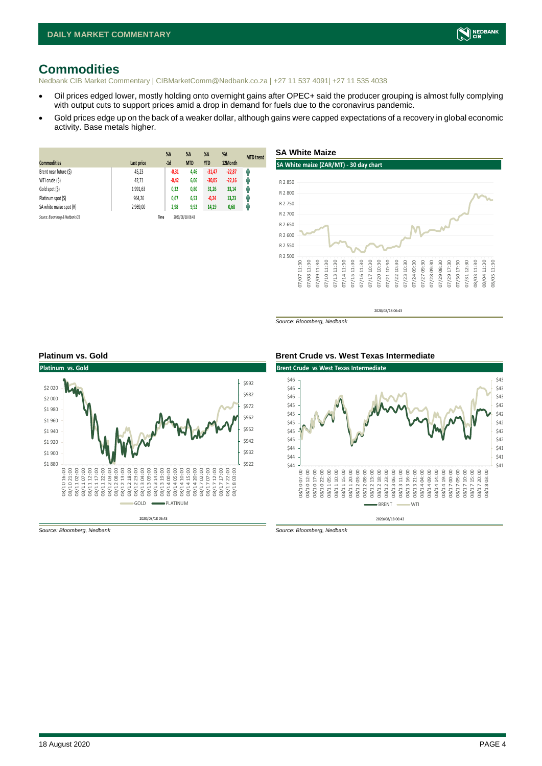# <span id="page-3-0"></span>**Commodities**

Nedbank CIB Market Commentary | CIBMarketComm@Nedbank.co.za | +27 11 537 4091| +27 11 535 4038

- Oil prices edged lower, mostly holding onto overnight gains after OPEC+ said the producer grouping is almost fully complying with output cuts to support prices amid a drop in demand for fuels due to the coronavirus pandemic.
- Gold prices edge up on the back of a weaker dollar, although gains were capped expectations of a recovery in global economic activity. Base metals higher.

| <b>Commodities</b>              | Last price | $%$ $\Delta$<br>$-1d$ | $\%$ $\Delta$<br><b>MTD</b> | $%$ $\Delta$<br><b>YTD</b> | %<br>12Month | <b>MTD</b> trend |
|---------------------------------|------------|-----------------------|-----------------------------|----------------------------|--------------|------------------|
| Brent near future (\$)          | 45,23      | $-0,31$               | 4,46                        | $-31,47$                   | $-22,87$     | 4                |
| WTI crude (\$)                  | 42,71      | $-0,42$               | 6,06                        | $-30,05$                   | $-22,16$     | q,               |
| Gold spot (\$)                  | 1991,63    | 0,32                  | 0,80                        | 31,26                      | 33,14        | η,               |
| Platinum spot (\$)              | 964,26     | 0,67                  | 6,53                        | $-0,24$                    | 13,23        | 4                |
| SA white maize spot (R)         | 2 969,00   | 2,98                  | 9,92                        | 14,19                      | 0,68         | f                |
| Source: Bloomberg & Nedbank CIB |            | Time                  | 2020/08/18 06:43            |                            |              |                  |



2020/08/18 06:43

*Source: Bloomberg, Nedbank*



#### **Platinum vs. Gold Brent Crude vs. West Texas Intermediate**



*Source: Bloomberg, Nedbank Source: Bloomberg, Nedbank*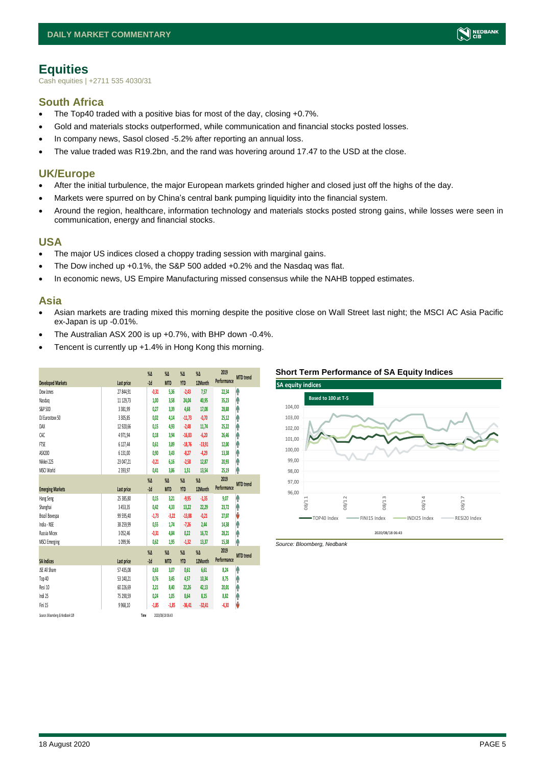

## <span id="page-4-0"></span>**Equities**

Cash equities | +2711 535 4030/31

#### **South Africa**

- The Top40 traded with a positive bias for most of the day, closing +0.7%.
- Gold and materials stocks outperformed, while communication and financial stocks posted losses.
- In company news, Sasol closed -5.2% after reporting an annual loss.
- The value traded was R19.2bn, and the rand was hovering around 17.47 to the USD at the close.

#### **UK/Europe**

- After the initial turbulence, the major European markets grinded higher and closed just off the highs of the day.
- Markets were spurred on by China's central bank pumping liquidity into the financial system.
- Around the region, healthcare, information technology and materials stocks posted strong gains, while losses were seen in communication, energy and financial stocks.

#### **USA**

- The major US indices closed a choppy trading session with marginal gains.
- The Dow inched up +0.1%, the S&P 500 added +0.2% and the Nasdaq was flat.
- In economic news, US Empire Manufacturing missed consensus while the NAHB topped estimates.

#### **Asia**

- Asian markets are trading mixed this morning despite the positive close on Wall Street last night; the MSCI AC Asia Pacific ex-Japan is up -0.01%.
- The Australian ASX 200 is up +0.7%, with BHP down -0.4%.
- Tencent is currently up +1.4% in Hong Kong this morning.

| <b>Developed Markets</b>        | Last price   | $\%$ $\Delta$<br>$-1d$ | $\%$ $\Delta$<br><b>MTD</b> | $\%$ $\Delta$<br><b>YTD</b> | $\%$ $\Delta$<br>12Month | 2019<br>Performance | <b>MTD</b> trend |
|---------------------------------|--------------|------------------------|-----------------------------|-----------------------------|--------------------------|---------------------|------------------|
| Dow Jones                       | 27 844,91    | $-0,31$                | 5,36                        | $-2,43$                     | 7,57                     | 22,34               | ۸                |
| Nasdao                          | 11 129.73    | 1.00                   | 3.58                        | 24,04                       | 40,95                    | 35,23               | ł                |
| S&P 500                         | 3381,99      | 0.27                   | 3,39                        | 4,68                        | 17,08                    | 28,88               | Ŷ                |
| DJ Eurostoxx 50                 | 3 3 0 5, 8 5 | 0.02                   | 4.14                        | $-11,73$                    | $-0,70$                  | 25,12               | Ĥ                |
| DAX                             | 12 920,66    | 0,15                   | 4,93                        | $-2,48$                     | 11,74                    | 25,22               | ۸                |
| CAC                             | 4971,94      | 0,18                   | 3,94                        | $-16,83$                    | $-6,20$                  | 26,46               | Ŷ                |
| <b>FTSE</b>                     | 6 127,44     | 0.61                   | 3.89                        | $-18,76$                    | $-13,91$                 | 12,00               | Ĥ                |
| ASX200                          | 6 131,00     | 0,90                   | 3.43                        | $-8,27$                     | $-4,29$                  | 13,38               | ۸                |
| Nikkei 225                      | 23 047,21    | $-0.21$                | 6,16                        | $-2,58$                     | 12,87                    | 20,93               | ۸                |
| MSCI World                      | 2 3 9 3, 9 7 | 0,41                   | 3,86                        | 1,51                        | 13,54                    | 25,19               | ۸                |
|                                 |              | $\sqrt{2}$             | $\%$ $\Delta$               | $\%$ $\Delta$               | $\%$ $\Delta$            | 2019                |                  |
| <b>Emerging Markets</b>         | Last price   | $-1d$                  | <b>MTD</b>                  | <b>YTD</b>                  | 12Month                  | Performance         | <b>MTD</b> trend |
| Hang Seng                       | 25 385,80    | 0,15                   | 3,21                        | $-9,95$                     | $-1,35$                  | 9,07                | ۸                |
| Shanghai                        | 3453,35      | 0,42                   | 4,33                        | 13,22                       | 22,29                    | 23,72               | ٨                |
| Brazil Bovespa                  | 99 595,40    | $-1,73$                | $-3,22$                     | $-13,88$                    | $-0.21$                  | 27.07               | V                |
| India - NSE                     | 38 259,99    | 0,55                   | 1.74                        | $-7,26$                     | 2,44                     | 14,38               | ۸                |
| Russia Micex                    | 3 0 5 2,46   | $-0,31$                | 4,84                        | 0,22                        | 16,72                    | 28,21               | ۸                |
| <b>MSCI Emerging</b>            | 1099,96      | 0,62                   | 1,95                        | $-1,32$                     | 13,37                    | 15,38               | ٨                |
|                                 |              | $\%$                   | $\%$ $\Delta$               | $\%$ $\Delta$               | $\%$                     | 2019                | <b>MTD</b> trend |
| <b>SA Indices</b>               | Last price   | $-1d$                  | <b>MTD</b>                  | <b>YTD</b>                  | 12Month                  | Performance         |                  |
| JSE All Share                   | 57 435,08    | 0,63                   | 3,07                        | 0,61                        | 6,61                     | 8,24                | ۸                |
| Top 40                          | 53 140,21    | 0,76                   | 3,45                        | 4,57                        | 10,34                    | 8,75                | ۸                |
| Resi 10                         | 60 226.69    | 2.21                   | 8.40                        | 22,26                       | 42,13                    | 20,01               | Ŷ                |
| Indi 25                         | 75 290,59    | 0,24                   | 1.05                        | 8,64                        | 8,15                     | 8,82                | φ                |
| Fini 15                         | 9 9 68, 10   | $-1,85$                | $-1,85$                     | $-36,41$                    | $-32,41$                 | $-4,30$             | V                |
| Source: Bloomberg & Nedbank CIB | Time         |                        | 2020/08/18 06:43            |                             |                          |                     |                  |

#### **Short Term Performance of SA Equity Indices**



*Source: Bloomberg, Nedbank*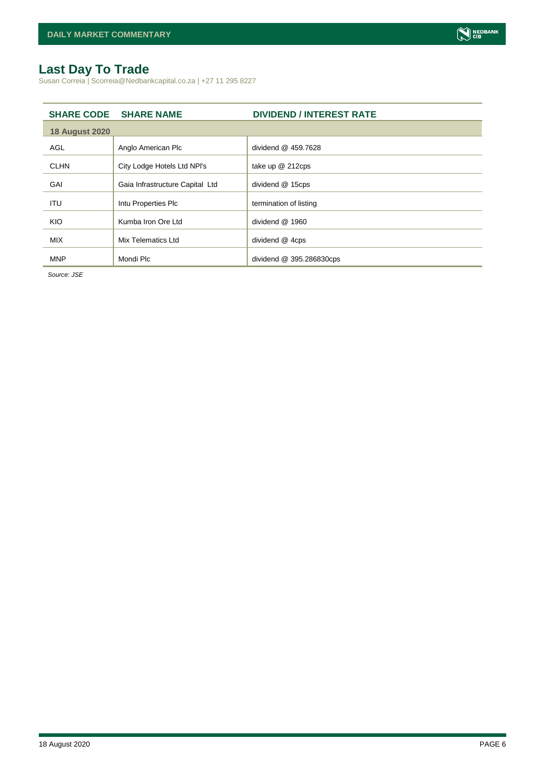# <span id="page-5-0"></span>**Last Day To Trade**

Susan Correia | Scorreia@Nedbankcapital.co.za | +27 11 295 8227

|                       | <b>SHARE CODE SHARE NAME</b>    | <b>DIVIDEND / INTEREST RATE</b> |
|-----------------------|---------------------------------|---------------------------------|
| <b>18 August 2020</b> |                                 |                                 |
| AGL                   | Anglo American Plc              | dividend @ 459.7628             |
| <b>CLHN</b>           | City Lodge Hotels Ltd NPI's     | take up @ 212cps                |
| GAI                   | Gaia Infrastructure Capital Ltd | dividend @ 15cps                |
| ITU                   | Intu Properties Plc             | termination of listing          |
| KIO                   | Kumba Iron Ore Ltd              | dividend @ 1960                 |
| <b>MIX</b>            | Mix Telematics Ltd              | dividend @ 4cps                 |
| <b>MNP</b>            | Mondi Plc                       | dividend @ 395.286830cps        |

*Source: JSE*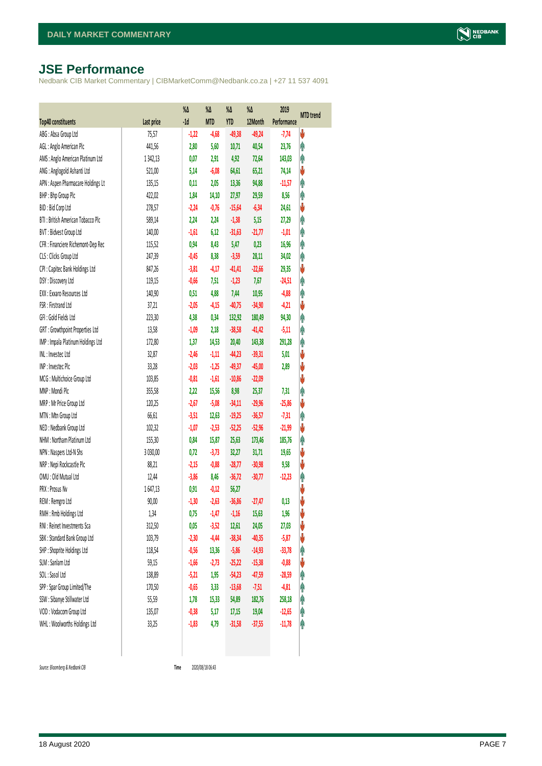# <span id="page-6-0"></span>**JSE Performance**

Nedbank CIB Market Commentary | CIBMarketComm@Nedbank.co.za | +27 11 537 4091

|                                    |            | %Δ      | %Δ         | %Δ         | %Δ       | 2019        | <b>MTD</b> trend |
|------------------------------------|------------|---------|------------|------------|----------|-------------|------------------|
| <b>Top40 constituents</b>          | Last price | $-1d$   | <b>MTD</b> | <b>YTD</b> | 12Month  | Performance |                  |
| ABG: Absa Group Ltd                | 75,57      | $-1,22$ | $-4,68$    | $-49,38$   | $-49,24$ | $-7,74$     | V                |
| AGL: Anglo American Plc            | 441,56     | 2,80    | 5,60       | 10,71      | 40,54    | 23,76       | φ                |
| AMS: Anglo American Platinum Ltd   | 1342,13    | 0,07    | 2,91       | 4,92       | 72,64    | 143,03      | Ą                |
| ANG: Anglogold Ashanti Ltd         | 521,00     | 5,14    | $-6,08$    | 64,61      | 65,21    | 74,14       | V                |
| APN : Aspen Pharmacare Holdings Lt | 135,15     | 0,11    | 2,05       | 13,36      | 94,88    | $-11,57$    | φ                |
| BHP: Bhp Group Plc                 | 422,02     | 1,84    | 14,10      | 27,97      | 29,59    | 8,56        | φ                |
| BID: Bid Corp Ltd                  | 278,57     | $-2,24$ | $-0,76$    | $-15,64$   | $-6,34$  | 24,61       | V                |
| BTI: British American Tobacco Plc  | 589,14     | 2,24    | 2,24       | $-1,38$    | 5,15     | 27,29       | φ                |
| BVT: Bidvest Group Ltd             | 140,00     | $-1,61$ | 6,12       | $-31,63$   | $-21,77$ | $-1,01$     | φ                |
| CFR : Financiere Richemont-Dep Rec | 115,52     | 0,94    | 8,43       | 5,47       | 0,23     | 16,96       | φ                |
| CLS : Clicks Group Ltd             | 247,39     | $-0,45$ | 8,38       | $-3,59$    | 28,11    | 34,02       | φ                |
| CPI : Capitec Bank Holdings Ltd    | 847,26     | $-3,81$ | $-4,17$    | $-41,41$   | $-22,66$ | 29,35       | V                |
| DSY: Discovery Ltd                 | 119,15     | $-0,66$ | 7,51       | $-1,23$    | 7,67     | $-24,51$    | φ                |
| EXX : Exxaro Resources Ltd         | 140,90     | 0,51    | 4,88       | 7,44       | 10,95    | $-4,88$     | φ                |
| FSR: Firstrand Ltd                 | 37,21      | $-2,05$ | $-4,15$    | $-40,75$   | $-34,90$ | $-4,21$     | ψ                |
| GFI: Gold Fields Ltd               | 223,30     | 4,38    | 0,34       | 132,92     | 180,49   | 94,30       | φ                |
| GRT : Growthpoint Properties Ltd   | 13,58      | $-1,09$ | 2,18       | $-38,58$   | $-41,42$ | $-5,11$     | Ą                |
| IMP : Impala Platinum Holdings Ltd | 172,80     | 1,37    | 14,53      | 20,40      | 143,38   | 291,28      | φ                |
| INL: Investec Ltd                  | 32,87      | $-2,46$ | $-1,11$    | $-44,23$   | $-39,31$ | 5,01        | ♦                |
| INP: Invested Pld                  | 33,28      | $-2,03$ | $-1,25$    | $-49,37$   | $-45,00$ | 2,89        | ψ                |
| MCG: Multichoice Group Ltd         | 103,85     | $-0,81$ | $-1,61$    | $-10,86$   | $-22,09$ |             | ψ                |
| MNP: Mondi Plc                     | 355,58     | 2,22    | 15,56      | 8,98       | 25,37    | 7,31        | Ą                |
| MRP : Mr Price Group Ltd           | 120,25     | $-2,67$ | $-5,08$    | $-34,11$   | $-29,96$ | $-25,86$    | ψ                |
| MTN: Mtn Group Ltd                 | 66,61      | $-3,51$ | 12,63      | $-19,25$   | $-36,57$ | $-7,31$     | φ                |
| NED : Nedbank Group Ltd            | 102,32     | $-1,07$ | $-2,53$    | $-52,25$   | $-52,96$ | $-21,99$    | ψ                |
| NHM: Northam Platinum Ltd          | 155,30     | 0,84    | 15,87      | 25,63      | 173,46   | 185,76      | φ                |
| NPN : Naspers Ltd-N Shs            | 3 030,00   | 0,72    | $-3,73$    | 32,27      | 31,71    | 19,65       | ψ                |
| NRP : Nepi Rockcastle Plc          | 88,21      | $-2,15$ | $-0,88$    | $-28,77$   | $-30,98$ | 9,58        | ψ                |
| OMU: Old Mutual Ltd                | 12,44      | $-3,86$ | 8,46       | $-36,72$   | $-30,77$ | $-12,23$    | φ                |
| PRX : Prosus Nv                    | 1647,13    | 0,91    | $-0,12$    | 56,27      |          |             | ♦                |
| REM : Remgro Ltd                   | 90,00      | $-1,30$ | $-2,63$    | $-36,86$   | $-27,47$ | 0,13        | V                |
| RMH: Rmb Holdings Ltd              | 1,34       | 0,75    | $-1,47$    | $-1,16$    | 15,63    | 1,96        | V                |
| RNI : Reinet Investments Sca       | 312,50     | 0,05    | $-3,52$    | 12,61      | 24,05    | 27,03       | ψ                |
| SBK: Standard Bank Group Ltd       | 103,79     | $-2,30$ | $-4,44$    | $-38,34$   | $-40,35$ | $-5,87$     | ψ                |
| SHP: Shoprite Holdings Ltd         | 118,54     | $-0,56$ | 13,36      | $-5,86$    | $-14,93$ | $-33,78$    | φ                |
| SLM : Sanlam Ltd                   | 59,15      | $-1,66$ | $-2,73$    | $-25,22$   | $-15,38$ | $-0,88$     | ψ                |
| SOL: Sasol Ltd                     | 138,89     | $-5,21$ | 1,95       | $-54,23$   | $-47,59$ | $-28,59$    | φ                |
| SPP: Spar Group Limited/The        | 170,50     | $-0,65$ | 3,33       | $-13,68$   | $-7,51$  | $-4,81$     | φ                |
| SSW : Sibanye Stillwater Ltd       | 55,59      | 1,78    | 15,33      | 54,89      | 182,76   | 258,18      | Ĥ                |
| VOD: Vodacom Group Ltd             | 135,07     | $-0,38$ | 5,17       | 17,15      | 19,04    | $-12,65$    | φ                |
| WHL: Woolworths Holdings Ltd       | 33,25      | $-1,83$ | 4,79       | $-31,58$   | $-37,55$ | $-11,78$    | φ                |
|                                    |            |         |            |            |          |             |                  |

 $Source: Bloomberg & Nedbank *CB*$ 

Time 2020/08/18 06:43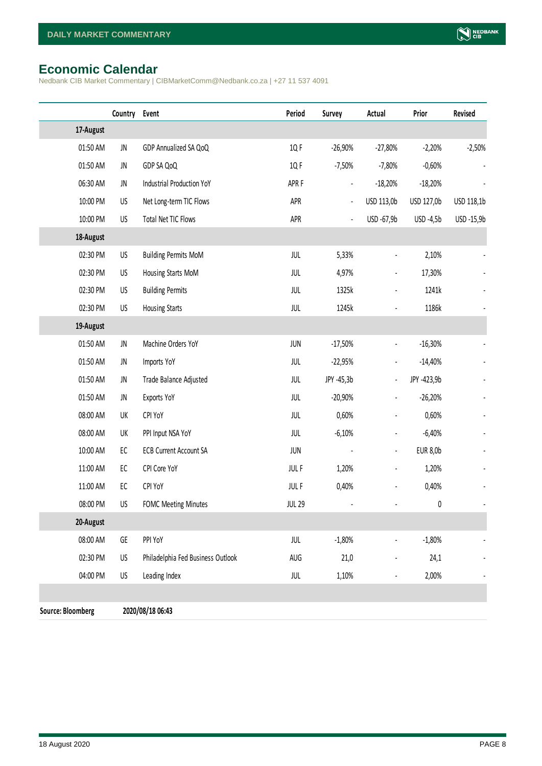# <span id="page-7-0"></span>**Economic Calendar**

Nedbank CIB Market Commentary | CIBMarketComm@Nedbank.co.za | +27 11 537 4091

|                          | Country | Event                             | Period           | Survey                   | Actual                       | Prior           | Revised    |
|--------------------------|---------|-----------------------------------|------------------|--------------------------|------------------------------|-----------------|------------|
| 17-August                |         |                                   |                  |                          |                              |                 |            |
| 01:50 AM                 | JN      | GDP Annualized SA QoQ             | 1Q F             | $-26,90%$                | $-27,80%$                    | $-2,20%$        | $-2,50%$   |
| 01:50 AM                 | JN      | GDP SA QoQ                        | 1Q F             | $-7,50%$                 | $-7,80%$                     | $-0,60%$        |            |
| 06:30 AM                 | JN      | <b>Industrial Production YoY</b>  | APR <sub>F</sub> | $\overline{\phantom{0}}$ | $-18,20%$                    | $-18,20%$       |            |
| 10:00 PM                 | US      | Net Long-term TIC Flows           | APR              | $\blacksquare$           | USD 113,0b                   | USD 127,0b      | USD 118,1b |
| 10:00 PM                 | US      | Total Net TIC Flows               | APR              | $\overline{\phantom{a}}$ | USD -67,9b                   | USD -4,5b       | USD -15,9b |
| 18-August                |         |                                   |                  |                          |                              |                 |            |
| 02:30 PM                 | US      | <b>Building Permits MoM</b>       | JUL              | 5,33%                    |                              | 2,10%           |            |
| 02:30 PM                 | US      | Housing Starts MoM                | JUL              | 4,97%                    | $\qquad \qquad \blacksquare$ | 17,30%          |            |
| 02:30 PM                 | US      | <b>Building Permits</b>           | JUL              | 1325k                    | $\overline{a}$               | 1241k           |            |
| 02:30 PM                 | US      | <b>Housing Starts</b>             | JUL              | 1245k                    |                              | 1186k           |            |
| 19-August                |         |                                   |                  |                          |                              |                 |            |
| 01:50 AM                 | JN      | Machine Orders YoY                | <b>JUN</b>       | $-17,50%$                | $\overline{\phantom{a}}$     | $-16,30%$       |            |
| 01:50 AM                 | JN      | Imports YoY                       | JUL              | $-22,95%$                |                              | $-14,40%$       |            |
| 01:50 AM                 | JN      | Trade Balance Adjusted            | JUL              | JPY -45,3b               | $\overline{\phantom{a}}$     | JPY -423,9b     |            |
| 01:50 AM                 | JN      | Exports YoY                       | JUL              | $-20,90%$                | $\overline{\phantom{a}}$     | $-26,20%$       |            |
| 08:00 AM                 | UK      | CPI YoY                           | JUL              | 0,60%                    | $\overline{a}$               | 0,60%           |            |
| 08:00 AM                 | UK      | PPI Input NSA YoY                 | JUL              | $-6,10%$                 | $\blacksquare$               | $-6,40%$        |            |
| 10:00 AM                 | EC      | <b>ECB Current Account SA</b>     | <b>JUN</b>       |                          | $\blacksquare$               | <b>EUR 8,0b</b> |            |
| 11:00 AM                 | EC      | CPI Core YoY                      | <b>JULF</b>      | 1,20%                    | $\overline{\phantom{a}}$     | 1,20%           |            |
| 11:00 AM                 | EC      | CPI YoY                           | <b>JULF</b>      | 0,40%                    | $\blacksquare$               | 0,40%           |            |
| 08:00 PM                 | US      | <b>FOMC Meeting Minutes</b>       | <b>JUL 29</b>    |                          |                              | $\pmb{0}$       |            |
| 20-August                |         |                                   |                  |                          |                              |                 |            |
| 08:00 AM                 | GE      | PPI YoY                           | JUL              | $-1,80%$                 |                              | $-1,80%$        |            |
| 02:30 PM                 | US      | Philadelphia Fed Business Outlook | AUG              | 21,0                     |                              | 24,1            |            |
| 04:00 PM                 | US      | Leading Index                     | JUL              | 1,10%                    |                              | 2,00%           |            |
|                          |         |                                   |                  |                          |                              |                 |            |
| <b>Source: Bloomberg</b> |         | 2020/08/18 06:43                  |                  |                          |                              |                 |            |